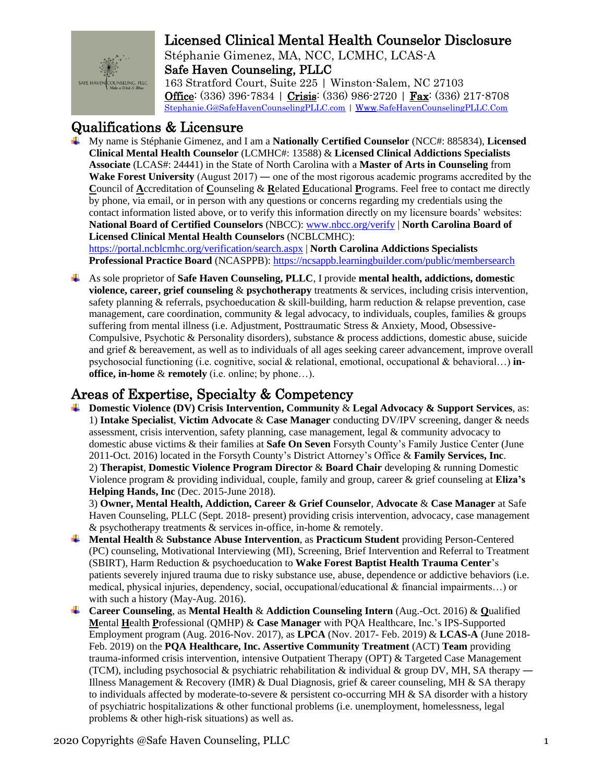

Stéphanie Gimenez, MA, NCC, LCMHC, LCAS-A Safe Haven Counseling, PLLC 163 Stratford Court, Suite 225 | Winston-Salem, NC 27103 Office: (336) 396-7834 | Crisis: (336) 986-2720 | Fax: (336) 217-8708

Stephanie.G@SafeHavenCounselingPLLC.com | Www.SafeHavenCounselingPLLC.Com

#### Qualifications & Licensure

↓ My name is Stéphanie Gimenez, and I am a Nationally Certified Counselor (NCC#: 885834), Licensed Clinical Mental Health Counselor (LCMHC#: 13588) & Licensed Clinical Addictions Specialists Associate (LCAS#: 24441) in the State of North Carolina with a Master of Arts in Counseling from Wake Forest University (August  $2017$ ) — one of the most rigorous academic programs accredited by the Council of Accreditation of Counseling  $\&$  Related Educational Programs. Feel free to contact me directly by phone, via email, or in person with any questions or concerns regarding my credentials using the contact information listed above, or to verify this information directly on my licensure boards' websites: National Board of Certified Counselors (NBCC): www.nbcc.org/verify | North Carolina Board of **Licensed Clinical Mental Health Counselors (NCBLCMHC):** https://portal.ncblcmhc.org/verification/search.aspx | North Carolina Addictions Specialists

Professional Practice Board (NCASPPB): https://ncsappb.learningbuilder.com/public/membersearch

 $\perp$  As sole proprietor of **Safe Haven Counseling, PLLC**, I provide mental health, addictions, domestic violence, career, grief counseling  $\&$  psychotherapy treatments  $\&$  services, including crisis intervention, safety planning & referrals, psychoeducation & skill-building, harm reduction & relapse prevention, case management, care coordination, community  $\&$  legal advocacy, to individuals, couples, families  $\&$  groups suffering from mental illness (i.e. Adjustment, Posttraumatic Stress & Anxiety, Mood, Obsessive-Compulsive, Psychotic & Personality disorders), substance & process addictions, domestic abuse, suicide and grief & bereavement, as well as to individuals of all ages seeking career advancement, improve overall psychosocial functioning (i.e. cognitive, social & relational, emotional, occupational & behavioral...) inoffice, in-home  $\&$  remotely (i.e. online; by phone...).

#### Areas of Expertise, Specialty & Competency

 $\perp$  Domestic Violence (DV) Crisis Intervention, Community & Legal Advocacy & Support Services, as: 1) Intake Specialist, Victim Advocate & Case Manager conducting DV/IPV screening, danger & needs assessment, crisis intervention, safety planning, case management, legal & community advocacy to domestic abuse victims & their families at Safe On Seven Forsyth County's Family Justice Center (June 2011-Oct. 2016) located in the Forsyth County's District Attorney's Office & Family Services, Inc. 2) Therapist, Domestic Violence Program Director & Board Chair developing & running Domestic Violence program & providing individual, couple, family and group, career & grief counseling at Eliza's Helping Hands, Inc (Dec. 2015-June 2018).

3) Owner, Mental Health, Addiction, Career & Grief Counselor, Advocate & Case Manager at Safe Haven Counseling, PLLC (Sept. 2018- present) providing crisis intervention, advocacy, case management  $\&$  psychotherapy treatments  $\&$  services in-office, in-home  $\&$  remotely.

- $\frac{1}{\sqrt{1}}$  Mental Health & Substance Abuse Intervention, as Practicum Student providing Person-Centered (PC) counseling, Motivational Interviewing (MI), Screening, Brief Intervention and Referral to Treatment (SBIRT), Harm Reduction & psychoeducation to Wake Forest Baptist Health Trauma Center's patients severely injured trauma due to risky substance use, abuse, dependence or addictive behaviors (i.e. medical, physical injuries, dependency, social, occupational/educational & financial impairments...) or with such a history (May-Aug. 2016).
- **4 Career Counseling, as Mental Health & Addiction Counseling Intern** (Aug.-Oct. 2016) & Qualified Mental Health Professional (QMHP) & Case Manager with PQA Healthcare, Inc.'s IPS-Supported Employment program (Aug. 2016-Nov. 2017), as LPCA (Nov. 2017- Feb. 2019) & LCAS-A (June 2018-Feb. 2019) on the PQA Healthcare, Inc. Assertive Community Treatment (ACT) Team providing trauma-informed crisis intervention, intensive Outpatient Therapy (OPT) & Targeted Case Management (TCM), including psychosocial & psychiatric rehabilitation & individual & group DV, MH, SA therapy — Illness Management & Recovery (IMR) & Dual Diagnosis, grief & career counseling, MH & SA therapy to individuals affected by moderate-to-severe & persistent co-occurring MH & SA disorder with a history of psychiatric hospitalizations & other functional problems (i.e. unemployment, homelessness, legal problems & other high-risk situations) as well as.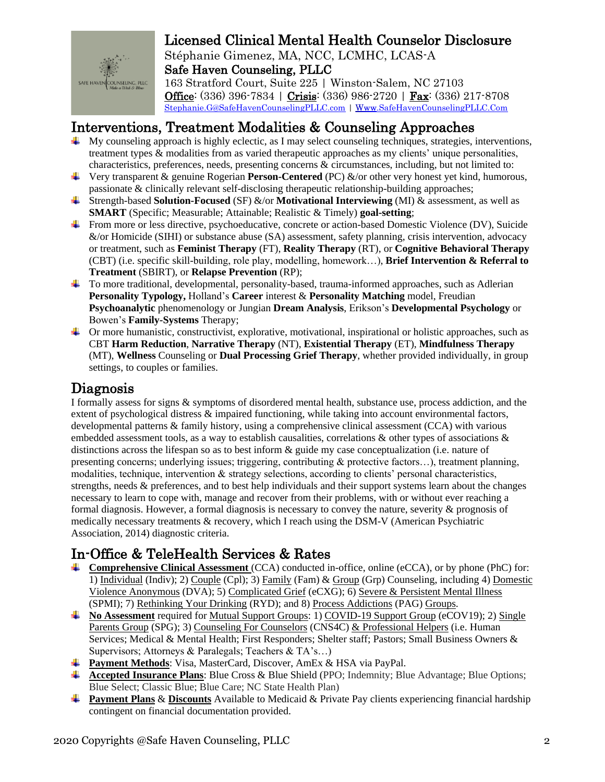

Stéphanie Gimenez, MA, NCC, LCMHC, LCAS-A Safe Haven Counseling, PLLC 163 Stratford Court, Suite 225 | Winston-Salem, NC 27103 Office: (336) 396-7834 | Crisis: (336) 986-2720 | Fax: (336) 217-8708

Stephanie.G@SafeHavenCounselingPLLC.com | Www.SafeHavenCounselingPLLC.Com

#### Interventions, Treatment Modalities & Counseling Approaches

- $\perp$  My counseling approach is highly eclectic, as I may select counseling techniques, strategies, interventions, treatment types & modalities from as varied therapeutic approaches as my clients' unique personalities, characteristics, preferences, needs, presenting concerns  $\&$  circumstances, including, but not limited to:
- **U** Very transparent & genuine Rogerian **Person-Centered** (PC) &/or other very honest yet kind, humorous, passionate & clinically relevant self-disclosing therapeutic relationship-building approaches;
- $\overline{\phantom{a} \bullet}$  Strength-based Solution-Focused (SF) &/or Motivational Interviewing (MI) & assessment, as well as **SMART** (Specific; Measurable; Attainable; Realistic & Timely) **goal-setting**;
- From more or less directive, psychoeducative, concrete or action-based Domestic Violence (DV), Suicide  $\&$ /or Homicide (SIHI) or substance abuse (SA) assessment, safety planning, crisis intervention, advocacy or treatment, such as **Feminist Therapy** (FT), **Reality Therapy** (RT), or **Cognitive Behavioral Therapy** (CBT) (i.e. specific skill-building, role play, modelling, homework...), Brief Intervention & Referral to **Treatment (SBIRT), or Relapse Prevention (RP);**
- To more traditional, developmental, personality-based, trauma-informed approaches, such as Adlerian Personality Typology, Holland's Career interest & Personality Matching model, Freudian Psychoanalytic phenomenology or Jungian Dream Analysis, Erikson's Developmental Psychology or Bowen's Family-Systems Therapy;
- $\downarrow$  Or more humanistic, constructivist, explorative, motivational, inspirational or holistic approaches, such as CBT Harm Reduction, Narrative Therapy (NT), Existential Therapy (ET), Mindfulness Therapy (MT), Wellness Counseling or Dual Processing Grief Therapy, whether provided individually, in group settings, to couples or families.

#### Diagnosis

I formally assess for signs & symptoms of disordered mental health, substance use, process addiction, and the extent of psychological distress & impaired functioning, while taking into account environmental factors. developmental patterns & family history, using a comprehensive clinical assessment (CCA) with various embedded assessment tools, as a way to establish causalities, correlations & other types of associations  $\&$ distinctions across the lifespan so as to best inform  $\&$  guide my case conceptualization (i.e. nature of presenting concerns; underlying issues; triggering, contributing & protective factors...), treatment planning, modalities, technique, intervention & strategy selections, according to clients' personal characteristics, strengths, needs  $\&$  preferences, and to best help individuals and their support systems learn about the changes necessary to learn to cope with, manage and recover from their problems, with or without ever reaching a formal diagnosis. However, a formal diagnosis is necessary to convey the nature, severity  $\&$  prognosis of medically necessary treatments & recovery, which I reach using the DSM-V (American Psychiatric Association, 2014) diagnostic criteria.

## In-Office & TeleHealth Services & Rates

- **↓** Comprehensive Clinical Assessment (CCA) conducted in-office, online (eCCA), or by phone (PhC) for: 1) Individual (Indiv); 2) Couple (Cpl); 3) Family (Fam) & Group (Grp) Counseling, including 4) Domestic Violence Anonymous (DVA); 5) Complicated Grief (eCXG); 6) Severe & Persistent Mental Illness (SPMI); 7) Rethinking Your Drinking (RYD); and 8) Process Addictions (PAG) Groups.
- No Assessment required for <u>Mutual Support Groups</u>: 1) COVID-19 Support Group (eCOV19); 2) Single Parents Group (SPG); 3) Counseling For Counselors (CNS4C) & Professional Helpers (i.e. Human Services; Medical & Mental Health; First Responders; Shelter staff; Pastors; Small Business Owners & Supervisors; Attorneys & Paralegals; Teachers & TA's...)
- Payment Methods: Visa, MasterCard, Discover, AmEx & HSA via PayPal.
- **4** Accepted Insurance Plans: Blue Cross & Blue Shield (PPO; Indemnity; Blue Advantage; Blue Options; Blue Select; Classic Blue; Blue Care; NC State Health Plan)
- **+ Payment Plans & Discounts** Available to Medicaid & Private Pay clients experiencing financial hardship contingent on financial documentation provided.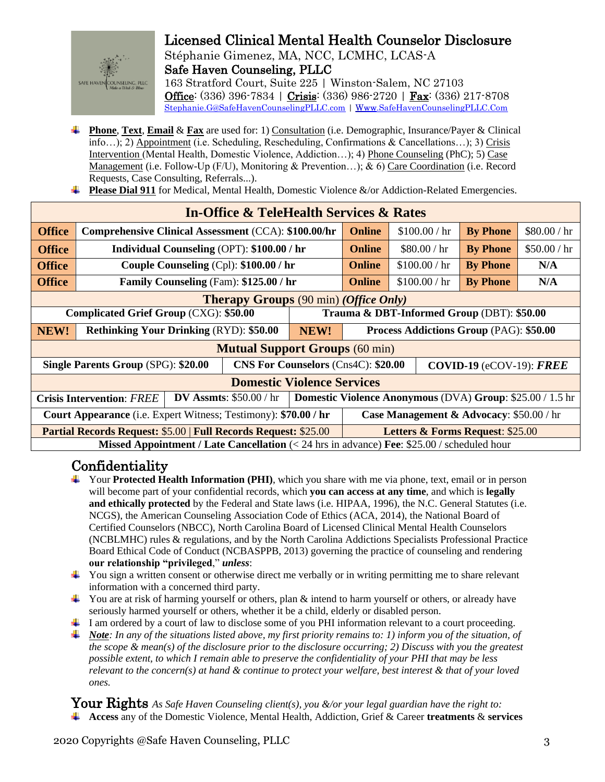

Stéphanie Gimenez, MA, NCC, LCMHC, LCAS-A Safe Haven Counseling, PLLC 163 Stratford Court, Suite 225 | Winston-Salem, NC 27103 Office: (336) 396-7834 | Crisis: (336) 986-2720 | Fax: (336) 217-8708 Stephanie.G@SafeHavenCounselingPLLC.com | Www.SafeHavenCounselingPLLC.Com

- **Phone, Text, Email & Fax** are used for: 1) Consultation (i.e. Demographic, Insurance/Payer & Clinical info...); 2) Appointment (i.e. Scheduling, Rescheduling, Confirmations & Cancellations...); 3) Crisis Intervention (Mental Health, Domestic Violence, Addiction...); 4) Phone Counseling (PhC); 5) Case Management (i.e. Follow-Up (F/U), Monitoring & Prevention...); & 6) Care Coordination (i.e. Record Requests, Case Consulting, Referrals...).
- **Please Dial 911** for Medical, Mental Health, Domestic Violence  $\&$  /or Addiction-Related Emergencies.

| <b>In-Office &amp; TeleHealth Services &amp; Rates</b>                                                                           |                                                      |  |                                            |                                                                            |               |                 |              |  |
|----------------------------------------------------------------------------------------------------------------------------------|------------------------------------------------------|--|--------------------------------------------|----------------------------------------------------------------------------|---------------|-----------------|--------------|--|
| <b>Office</b>                                                                                                                    | Comprehensive Clinical Assessment (CCA): \$100.00/hr |  |                                            | <b>Online</b>                                                              | \$100.00 / hr | <b>By Phone</b> | \$80.00 / hr |  |
| <b>Office</b>                                                                                                                    | Individual Counseling (OPT): \$100.00 / hr           |  |                                            | <b>Online</b>                                                              | \$80.00 / hr  | <b>By Phone</b> | \$50.00 / hr |  |
| <b>Office</b>                                                                                                                    | Couple Counseling (Cpl): \$100.00 / hr               |  |                                            | <b>Online</b>                                                              | \$100.00 / hr | <b>By Phone</b> | N/A          |  |
| <b>Office</b>                                                                                                                    | Family Counseling (Fam): \$125.00 / hr               |  |                                            | <b>Online</b>                                                              | \$100.00 / hr | <b>By Phone</b> | N/A          |  |
| <b>Therapy Groups</b> (90 min) (Office Only)                                                                                     |                                                      |  |                                            |                                                                            |               |                 |              |  |
| Complicated Grief Group (CXG): \$50.00                                                                                           |                                                      |  | Trauma & DBT-Informed Group (DBT): \$50.00 |                                                                            |               |                 |              |  |
| NEW!                                                                                                                             | <b>Rethinking Your Drinking (RYD): \$50.00</b>       |  | NEW!                                       | <b>Process Addictions Group (PAG): \$50.00</b>                             |               |                 |              |  |
| <b>Mutual Support Groups (60 min)</b>                                                                                            |                                                      |  |                                            |                                                                            |               |                 |              |  |
| Single Parents Group (SPG): \$20.00                                                                                              |                                                      |  |                                            | <b>CNS For Counselors (Cns4C): \$20.00</b><br>COVID-19 ( $eCOV-19$ ): FREE |               |                 |              |  |
| <b>Domestic Violence Services</b>                                                                                                |                                                      |  |                                            |                                                                            |               |                 |              |  |
| <b>Domestic Violence Anonymous (DVA) Group: \$25.00 / 1.5 hr</b><br>DV Assmts: $$50.00 / hr$<br><b>Crisis Intervention: FREE</b> |                                                      |  |                                            |                                                                            |               |                 |              |  |
| Court Appearance (i.e. Expert Witness; Testimony): \$70.00 / hr<br>Case Management & Advocacy: \$50.00 / hr                      |                                                      |  |                                            |                                                                            |               |                 |              |  |
| <b>Partial Records Request: \$5.00   Full Records Request: \$25.00</b>                                                           |                                                      |  |                                            | <b>Letters &amp; Forms Request: \$25.00</b>                                |               |                 |              |  |
| Missed Appointment / Late Cancellation (< 24 hrs in advance) Fee: \$25.00 / scheduled hour                                       |                                                      |  |                                            |                                                                            |               |                 |              |  |

## Confidentiality

- $\blacktriangle$  Your Protected Health Information (PHI), which you share with me via phone, text, email or in person will become part of your confidential records, which you can access at any time, and which is legally and ethically protected by the Federal and State laws (i.e. HIPAA, 1996), the N.C. General Statutes (i.e. NCGS), the American Counseling Association Code of Ethics (ACA, 2014), the National Board of Certified Counselors (NBCC), North Carolina Board of Licensed Clinical Mental Health Counselors (NCBLMHC) rules & regulations, and by the North Carolina Addictions Specialists Professional Practice Board Ethical Code of Conduct (NCBASPPB, 2013) governing the practice of counseling and rendering our relationship "privileged," unless:
- $\downarrow$  You sign a written consent or otherwise direct me verbally or in writing permitting me to share relevant information with a concerned third party.
- $\downarrow$  You are at risk of harming yourself or others, plan & intend to harm yourself or others, or already have seriously harmed yourself or others, whether it be a child, elderly or disabled person.
- $\perp$  I am ordered by a court of law to disclose some of you PHI information relevant to a court proceeding.
- $\frac{1}{2}$  Note: In any of the situations listed above, my first priority remains to: 1) inform you of the situation, of the scope  $\&$  mean(s) of the disclosure prior to the disclosure occurring; 2) Discuss with you the greatest possible extent, to which I remain able to preserve the confidentiality of your PHI that may be less relevant to the concern(s) at hand  $\&$  continue to protect your welfare, best interest  $\&$  that of your loved ones.

Your Rights As Safe Haven Counseling client(s), you &/or your legal guardian have the right to:  $\overline{\mathbf{A}}$  Access any of the Domestic Violence, Mental Health, Addiction, Grief & Career treatments & services